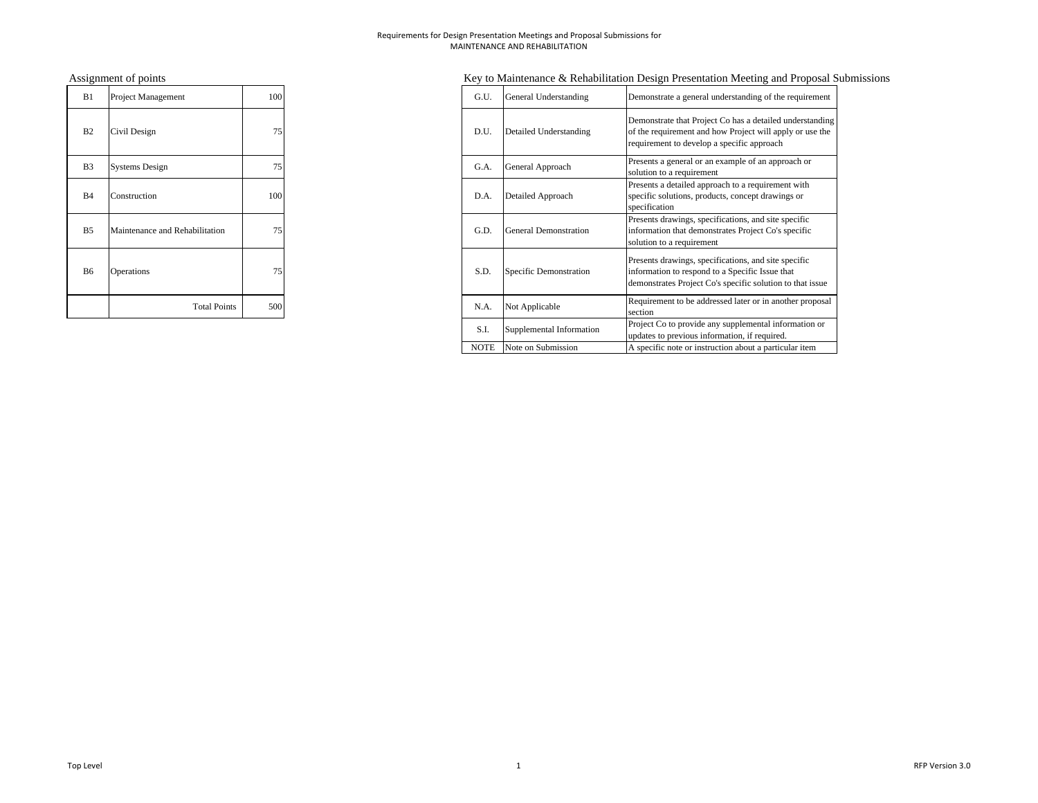| B1             | Project Management             | 100 | G.U. | General Understanding        |
|----------------|--------------------------------|-----|------|------------------------------|
| B <sub>2</sub> | Civil Design                   | 75  | D.U. | Detailed Understanding       |
| B <sub>3</sub> | <b>Systems Design</b>          | 75  | G.A. | General Approach             |
| B <sub>4</sub> | Construction                   | 100 | D.A. | Detailed Approach            |
| B <sub>5</sub> | Maintenance and Rehabilitation | 75  | G.D. | <b>General Demonstration</b> |
| B6             | Operations                     | 75  | S.D. | Specific Demonstration       |
|                | <b>Total Points</b>            | 500 | N.A. | Not Applicable               |

# Assignment of points **Key to Maintenance & Rehabilitation Design Presentation Meeting and Proposal Submissions**

| B1             | Project Management             | 100 | G.U.        | General Understanding        | Demonstrate a general understanding of the requirement                                                                                                               |
|----------------|--------------------------------|-----|-------------|------------------------------|----------------------------------------------------------------------------------------------------------------------------------------------------------------------|
| B <sub>2</sub> | Civil Design                   | 75  | D.U.        | Detailed Understanding       | Demonstrate that Project Co has a detailed understanding<br>of the requirement and how Project will apply or use the<br>requirement to develop a specific approach   |
| B3             | <b>Systems Design</b>          | 75  | G.A.        | General Approach             | Presents a general or an example of an approach or<br>solution to a requirement                                                                                      |
| B4             | Construction                   | 100 | D.A.        | Detailed Approach            | Presents a detailed approach to a requirement with<br>specific solutions, products, concept drawings or<br>specification                                             |
| B5             | Maintenance and Rehabilitation | 75  | G.D.        | <b>General Demonstration</b> | Presents drawings, specifications, and site specific<br>information that demonstrates Project Co's specific<br>solution to a requirement                             |
| B6             | <b>Operations</b>              | 75  | S.D.        | Specific Demonstration       | Presents drawings, specifications, and site specific<br>information to respond to a Specific Issue that<br>demonstrates Project Co's specific solution to that issue |
|                | <b>Total Points</b>            | 500 | N.A.        | Not Applicable               | Requirement to be addressed later or in another proposal<br>section                                                                                                  |
|                |                                |     | S.I.        | Supplemental Information     | Project Co to provide any supplemental information or<br>updates to previous information, if required.                                                               |
|                |                                |     | <b>NOTE</b> | Note on Submission           | A specific note or instruction about a particular item                                                                                                               |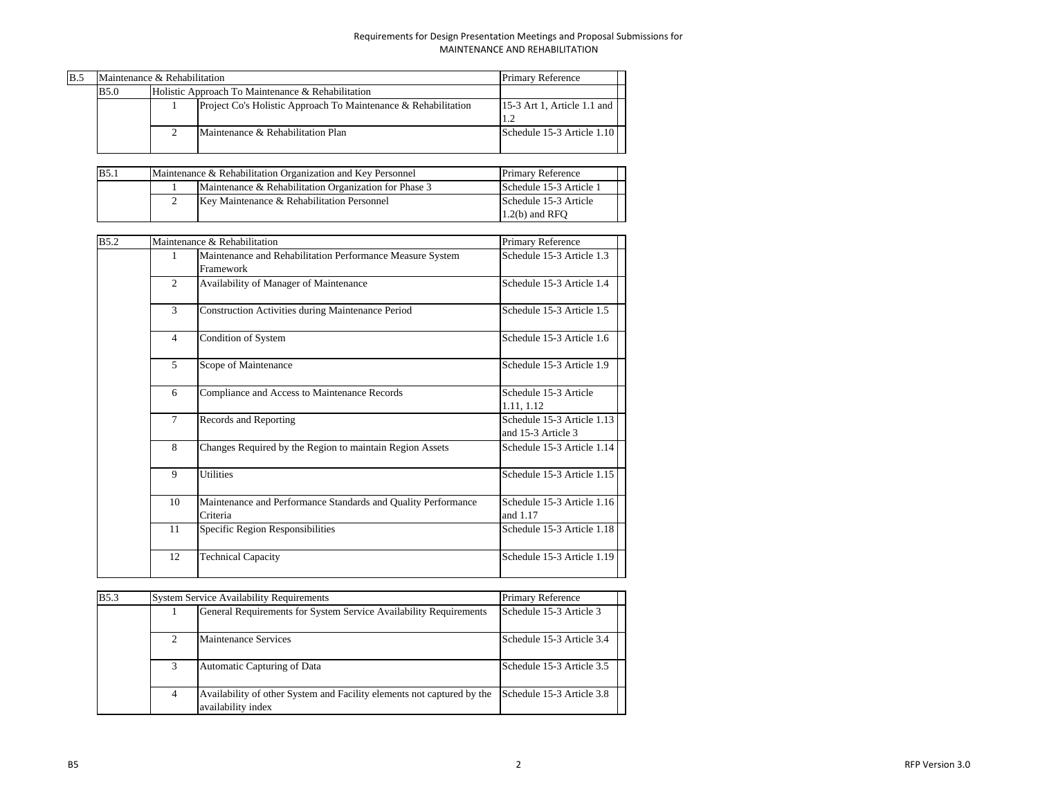| B.5 | Maintenance & Rehabilitation |  | <b>Primary Reference</b>                                       |                             |  |  |  |  |  |  |  |  |
|-----|------------------------------|--|----------------------------------------------------------------|-----------------------------|--|--|--|--|--|--|--|--|
|     | <b>B5.0</b>                  |  | Holistic Approach To Maintenance & Rehabilitation              |                             |  |  |  |  |  |  |  |  |
|     |                              |  | Project Co's Holistic Approach To Maintenance & Rehabilitation | 15-3 Art 1, Article 1.1 and |  |  |  |  |  |  |  |  |
|     |                              |  | Maintenance & Rehabilitation Plan                              | Schedule 15-3 Article 1.10  |  |  |  |  |  |  |  |  |

| <b>B</b> 5.1 | Maintenance & Rehabilitation Organization and Key Personnel | <b>Primary Reference</b> |
|--------------|-------------------------------------------------------------|--------------------------|
|              | Maintenance & Rehabilitation Organization for Phase 3       | Schedule 15-3 Article 1  |
|              | Key Maintenance & Rehabilitation Personnel                  | Schedule 15-3 Article    |
|              |                                                             | $1.2(b)$ and RFO         |

| <b>B5.2</b> |                | Maintenance & Rehabilitation                                              | Primary Reference                                |
|-------------|----------------|---------------------------------------------------------------------------|--------------------------------------------------|
|             | 1              | Maintenance and Rehabilitation Performance Measure System<br>Framework    | Schedule 15-3 Article 1.3                        |
|             | $\mathfrak{D}$ | Availability of Manager of Maintenance                                    | Schedule 15-3 Article 1.4                        |
|             | $\mathcal{L}$  | <b>Construction Activities during Maintenance Period</b>                  | Schedule 15-3 Article 1.5                        |
|             | $\overline{4}$ | Condition of System                                                       | Schedule 15-3 Article 1.6                        |
|             | 5              | Scope of Maintenance                                                      | Schedule 15-3 Article 1.9                        |
|             | 6              | Compliance and Access to Maintenance Records                              | Schedule 15-3 Article<br>1.11, 1.12              |
|             | 7              | Records and Reporting                                                     | Schedule 15-3 Article 1.13<br>and 15-3 Article 3 |
|             | 8              | Changes Required by the Region to maintain Region Assets                  | Schedule 15-3 Article 1.14                       |
|             | 9              | <b>Utilities</b>                                                          | Schedule 15-3 Article 1.15                       |
|             | 10             | Maintenance and Performance Standards and Quality Performance<br>Criteria | Schedule 15-3 Article 1.16<br>and 1.17           |
|             | 11             | Specific Region Responsibilities                                          | Schedule 15-3 Article 1.18                       |
|             | 12             | <b>Technical Capacity</b>                                                 | Schedule 15-3 Article 1.19                       |

| <b>B5.3</b> |                | <b>System Service Availability Requirements</b>                                              | <b>Primary Reference</b>  |  |
|-------------|----------------|----------------------------------------------------------------------------------------------|---------------------------|--|
|             |                | General Requirements for System Service Availability Requirements                            | Schedule 15-3 Article 3   |  |
|             |                | Maintenance Services                                                                         | Schedule 15-3 Article 3.4 |  |
|             |                | Automatic Capturing of Data                                                                  | Schedule 15-3 Article 3.5 |  |
|             | $\overline{4}$ | Availability of other System and Facility elements not captured by the<br>availability index | Schedule 15-3 Article 3.8 |  |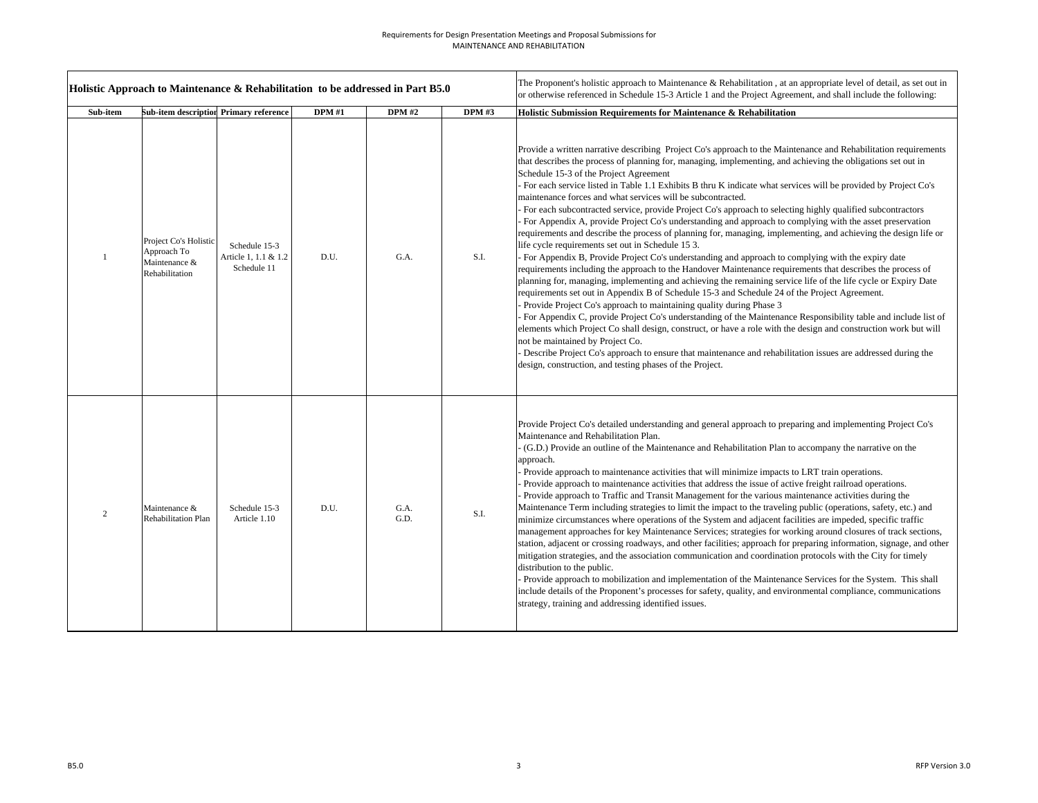|                | Holistic Approach to Maintenance & Rehabilitation to be addressed in Part B5.0 |                                                      |               |               |              | The Proponent's holistic approach to Maintenance & Rehabilitation, at an appropriate level of detail, as set out in<br>or otherwise referenced in Schedule 15-3 Article 1 and the Project Agreement, and shall include the following:                                                                                                                                                                                                                                                                                                                                                                                                                                                                                                                                                                                                                                                                                                                                                                                                                                                                                                                                                                                                                                                                                                                                                                                                                                                                                                                                                                                                                                                                                                                                                                                                     |
|----------------|--------------------------------------------------------------------------------|------------------------------------------------------|---------------|---------------|--------------|-------------------------------------------------------------------------------------------------------------------------------------------------------------------------------------------------------------------------------------------------------------------------------------------------------------------------------------------------------------------------------------------------------------------------------------------------------------------------------------------------------------------------------------------------------------------------------------------------------------------------------------------------------------------------------------------------------------------------------------------------------------------------------------------------------------------------------------------------------------------------------------------------------------------------------------------------------------------------------------------------------------------------------------------------------------------------------------------------------------------------------------------------------------------------------------------------------------------------------------------------------------------------------------------------------------------------------------------------------------------------------------------------------------------------------------------------------------------------------------------------------------------------------------------------------------------------------------------------------------------------------------------------------------------------------------------------------------------------------------------------------------------------------------------------------------------------------------------|
| Sub-item       |                                                                                | Sub-item description Primary reference               | <b>DPM</b> #1 | <b>DPM</b> #2 | <b>DPM#3</b> | Holistic Submission Requirements for Maintenance & Rehabilitation                                                                                                                                                                                                                                                                                                                                                                                                                                                                                                                                                                                                                                                                                                                                                                                                                                                                                                                                                                                                                                                                                                                                                                                                                                                                                                                                                                                                                                                                                                                                                                                                                                                                                                                                                                         |
| $\mathbf{1}$   | Project Co's Holistic<br>Approach To<br>Maintenance &<br>Rehabilitation        | Schedule 15-3<br>Article 1, 1.1 & 1.2<br>Schedule 11 | D.U.          | G.A.          | S.I.         | Provide a written narrative describing Project Co's approach to the Maintenance and Rehabilitation requirements<br>that describes the process of planning for, managing, implementing, and achieving the obligations set out in<br>Schedule 15-3 of the Project Agreement<br>- For each service listed in Table 1.1 Exhibits B thru K indicate what services will be provided by Project Co's<br>maintenance forces and what services will be subcontracted.<br>- For each subcontracted service, provide Project Co's approach to selecting highly qualified subcontractors<br>For Appendix A, provide Project Co's understanding and approach to complying with the asset preservation<br>requirements and describe the process of planning for, managing, implementing, and achieving the design life or<br>life cycle requirements set out in Schedule 15 3.<br>- For Appendix B, Provide Project Co's understanding and approach to complying with the expiry date<br>requirements including the approach to the Handover Maintenance requirements that describes the process of<br>planning for, managing, implementing and achieving the remaining service life of the life cycle or Expiry Date<br>requirements set out in Appendix B of Schedule 15-3 and Schedule 24 of the Project Agreement.<br>- Provide Project Co's approach to maintaining quality during Phase 3<br>For Appendix C, provide Project Co's understanding of the Maintenance Responsibility table and include list of<br>elements which Project Co shall design, construct, or have a role with the design and construction work but will<br>not be maintained by Project Co.<br>- Describe Project Co's approach to ensure that maintenance and rehabilitation issues are addressed during the<br>design, construction, and testing phases of the Project. |
| $\overline{2}$ | Maintenance &<br><b>Rehabilitation Plan</b>                                    | Schedule 15-3<br>Article 1.10                        | D.U.          | G.A.<br>G.D.  | S.I.         | Provide Project Co's detailed understanding and general approach to preparing and implementing Project Co's<br>Maintenance and Rehabilitation Plan.<br>- (G.D.) Provide an outline of the Maintenance and Rehabilitation Plan to accompany the narrative on the<br>approach.<br>- Provide approach to maintenance activities that will minimize impacts to LRT train operations.<br>Provide approach to maintenance activities that address the issue of active freight railroad operations.<br>Provide approach to Traffic and Transit Management for the various maintenance activities during the<br>Maintenance Term including strategies to limit the impact to the traveling public (operations, safety, etc.) and<br>minimize circumstances where operations of the System and adjacent facilities are impeded, specific traffic<br>management approaches for key Maintenance Services; strategies for working around closures of track sections,<br>station, adjacent or crossing roadways, and other facilities; approach for preparing information, signage, and other<br>mitigation strategies, and the association communication and coordination protocols with the City for timely<br>distribution to the public.<br>Provide approach to mobilization and implementation of the Maintenance Services for the System. This shall<br>include details of the Proponent's processes for safety, quality, and environmental compliance, communications<br>strategy, training and addressing identified issues.                                                                                                                                                                                                                                                                                                                   |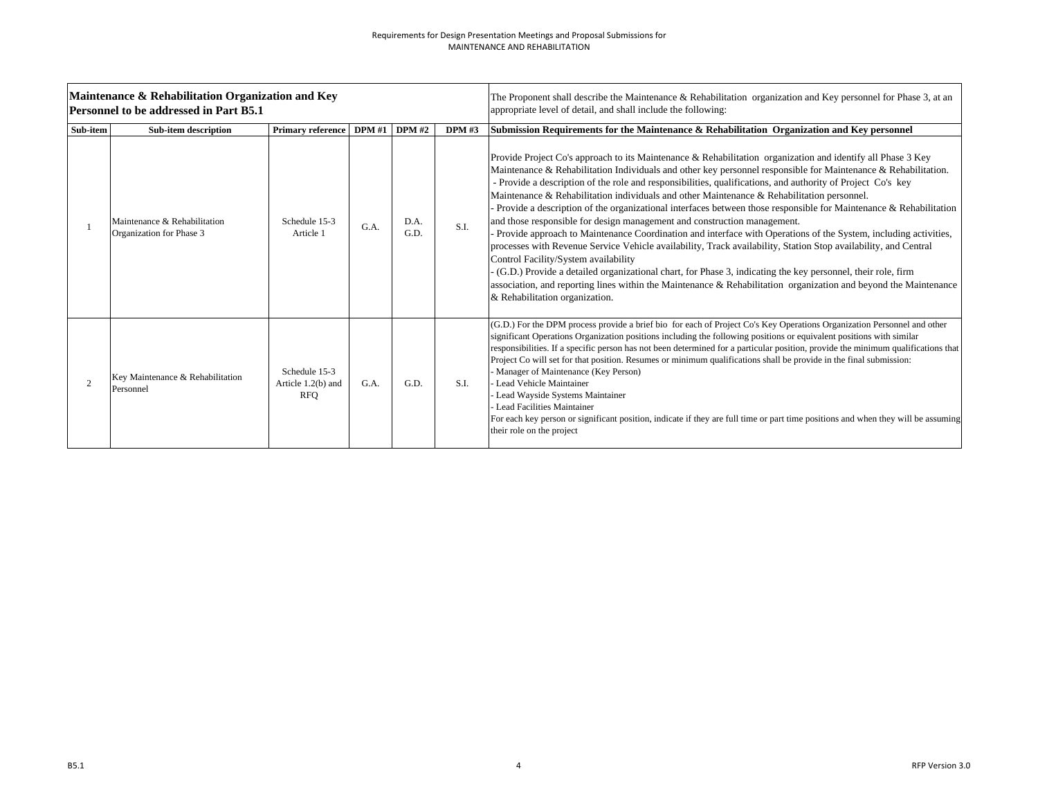|          | Maintenance & Rehabilitation Organization and Key<br><b>Personnel to be addressed in Part B5.1</b> |                                                   |      |               |       | The Proponent shall describe the Maintenance $\&$ Rehabilitation organization and Key personnel for Phase 3, at an<br>appropriate level of detail, and shall include the following:                                                                                                                                                                                                                                                                                                                                                                                                                                                                                                                                                                                                                                                                                                                                                                                                                                                                                                                                                                                                              |
|----------|----------------------------------------------------------------------------------------------------|---------------------------------------------------|------|---------------|-------|--------------------------------------------------------------------------------------------------------------------------------------------------------------------------------------------------------------------------------------------------------------------------------------------------------------------------------------------------------------------------------------------------------------------------------------------------------------------------------------------------------------------------------------------------------------------------------------------------------------------------------------------------------------------------------------------------------------------------------------------------------------------------------------------------------------------------------------------------------------------------------------------------------------------------------------------------------------------------------------------------------------------------------------------------------------------------------------------------------------------------------------------------------------------------------------------------|
| Sub-item | <b>Sub-item description</b>                                                                        | Primary reference DPM #1                          |      | <b>DPM</b> #2 | DPM#3 | Submission Requirements for the Maintenance & Rehabilitation Organization and Key personnel                                                                                                                                                                                                                                                                                                                                                                                                                                                                                                                                                                                                                                                                                                                                                                                                                                                                                                                                                                                                                                                                                                      |
|          | Maintenance & Rehabilitation<br>Organization for Phase 3                                           | Schedule 15-3<br>Article 1                        | G.A. | D.A.<br>G.D.  | S.I.  | Provide Project Co's approach to its Maintenance & Rehabilitation organization and identify all Phase 3 Key<br>Maintenance & Rehabilitation Individuals and other key personnel responsible for Maintenance & Rehabilitation.<br>- Provide a description of the role and responsibilities, qualifications, and authority of Project Co's key<br>Maintenance & Rehabilitation individuals and other Maintenance & Rehabilitation personnel.<br>Provide a description of the organizational interfaces between those responsible for Maintenance & Rehabilitation<br>and those responsible for design management and construction management.<br>- Provide approach to Maintenance Coordination and interface with Operations of the System, including activities,<br>processes with Revenue Service Vehicle availability, Track availability, Station Stop availability, and Central<br>Control Facility/System availability<br>(G.D.) Provide a detailed organizational chart, for Phase 3, indicating the key personnel, their role, firm<br>association, and reporting lines within the Maintenance & Rehabilitation organization and beyond the Maintenance<br>& Rehabilitation organization. |
|          | Key Maintenance & Rehabilitation<br>Personnel                                                      | Schedule 15-3<br>Article 1.2(b) and<br><b>RFO</b> | G.A. | G.D.          | S.I.  | (G.D.) For the DPM process provide a brief bio for each of Project Co's Key Operations Organization Personnel and other<br>significant Operations Organization positions including the following positions or equivalent positions with similar<br>responsibilities. If a specific person has not been determined for a particular position, provide the minimum qualifications that<br>Project Co will set for that position. Resumes or minimum qualifications shall be provide in the final submission:<br>- Manager of Maintenance (Key Person)<br>Lead Vehicle Maintainer<br>Lead Wayside Systems Maintainer<br>Lead Facilities Maintainer<br>For each key person or significant position, indicate if they are full time or part time positions and when they will be assuming<br>their role on the project                                                                                                                                                                                                                                                                                                                                                                                |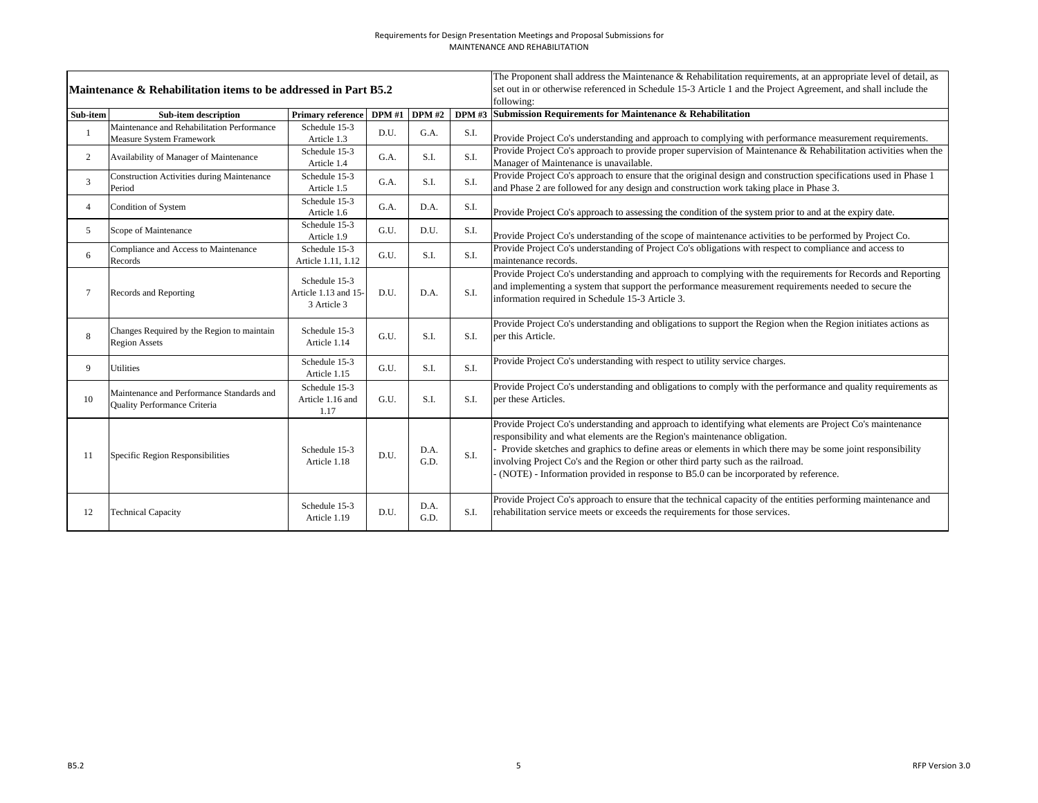|                | Maintenance & Rehabilitation items to be addressed in Part B5.2               |                                                      |                   |              |      | The Proponent shall address the Maintenance & Rehabilitation requirements, at an appropriate level of detail, as<br>set out in or otherwise referenced in Schedule 15-3 Article 1 and the Project Agreement, and shall include the                                                                                                                                                                                                                                             |
|----------------|-------------------------------------------------------------------------------|------------------------------------------------------|-------------------|--------------|------|--------------------------------------------------------------------------------------------------------------------------------------------------------------------------------------------------------------------------------------------------------------------------------------------------------------------------------------------------------------------------------------------------------------------------------------------------------------------------------|
|                |                                                                               |                                                      |                   |              |      | following:                                                                                                                                                                                                                                                                                                                                                                                                                                                                     |
| Sub-item       | <b>Sub-item description</b>                                                   | <b>Primary reference</b>                             | $DPM #1$ $DPM #2$ |              |      | DPM #3 Submission Requirements for Maintenance & Rehabilitation                                                                                                                                                                                                                                                                                                                                                                                                                |
|                | Maintenance and Rehabilitation Performance<br><b>Measure System Framework</b> | Schedule 15-3<br>Article 1.3                         | D.U.              | G.A.         | S.I. | Provide Project Co's understanding and approach to complying with performance measurement requirements.                                                                                                                                                                                                                                                                                                                                                                        |
| $\overline{2}$ | Availability of Manager of Maintenance                                        | Schedule 15-3<br>Article 1.4                         | G.A.              | S.I.         | S.I. | Provide Project Co's approach to provide proper supervision of Maintenance & Rehabilitation activities when the<br>Manager of Maintenance is unavailable.                                                                                                                                                                                                                                                                                                                      |
| 3              | <b>Construction Activities during Maintenance</b><br>Period                   | Schedule 15-3<br>Article 1.5                         | G.A.              | S.I.         | S.I. | Provide Project Co's approach to ensure that the original design and construction specifications used in Phase 1<br>and Phase 2 are followed for any design and construction work taking place in Phase 3.                                                                                                                                                                                                                                                                     |
|                | Condition of System                                                           | Schedule 15-3<br>Article 1.6                         | G.A.              | D.A.         | S.I. | Provide Project Co's approach to assessing the condition of the system prior to and at the expiry date.                                                                                                                                                                                                                                                                                                                                                                        |
| 5              | Scope of Maintenance                                                          | Schedule 15-3<br>Article 1.9                         | G.U.              | D.U.         | S.I. | Provide Project Co's understanding of the scope of maintenance activities to be performed by Project Co.                                                                                                                                                                                                                                                                                                                                                                       |
| 6              | Compliance and Access to Maintenance<br>Records                               | Schedule 15-3<br>Article 1.11, 1.12                  | G.U.              | S.I.         | S.I. | Provide Project Co's understanding of Project Co's obligations with respect to compliance and access to<br>maintenance records.                                                                                                                                                                                                                                                                                                                                                |
|                | <b>Records and Reporting</b>                                                  | Schedule 15-3<br>Article 1.13 and 15-<br>3 Article 3 | D.U.              | D.A.         | S.I. | Provide Project Co's understanding and approach to complying with the requirements for Records and Reporting<br>and implementing a system that support the performance measurement requirements needed to secure the<br>information required in Schedule 15-3 Article 3.                                                                                                                                                                                                       |
| 8              | Changes Required by the Region to maintain<br><b>Region Assets</b>            | Schedule 15-3<br>Article 1.14                        | G.U.              | S.I.         | S.I. | Provide Project Co's understanding and obligations to support the Region when the Region initiates actions as<br>per this Article.                                                                                                                                                                                                                                                                                                                                             |
| 9              | <b>Utilities</b>                                                              | Schedule 15-3<br>Article 1.15                        | G.U.              | S.I.         | S.I. | Provide Project Co's understanding with respect to utility service charges.                                                                                                                                                                                                                                                                                                                                                                                                    |
| 10             | Maintenance and Performance Standards and<br>Quality Performance Criteria     | Schedule 15-3<br>Article 1.16 and<br>1.17            | G.U.              | S.I.         | S.I. | Provide Project Co's understanding and obligations to comply with the performance and quality requirements as<br>per these Articles.                                                                                                                                                                                                                                                                                                                                           |
| 11             | Specific Region Responsibilities                                              | Schedule 15-3<br>Article 1.18                        | D.U.              | D.A.<br>G.D. | S.I. | Provide Project Co's understanding and approach to identifying what elements are Project Co's maintenance<br>responsibility and what elements are the Region's maintenance obligation.<br>Provide sketches and graphics to define areas or elements in which there may be some joint responsibility<br>involving Project Co's and the Region or other third party such as the railroad.<br>(NOTE) - Information provided in response to B5.0 can be incorporated by reference. |
| 12             | <b>Technical Capacity</b>                                                     | Schedule 15-3<br>Article 1.19                        | D.U.              | D.A.<br>G.D. | S.I. | Provide Project Co's approach to ensure that the technical capacity of the entities performing maintenance and<br>rehabilitation service meets or exceeds the requirements for those services.                                                                                                                                                                                                                                                                                 |